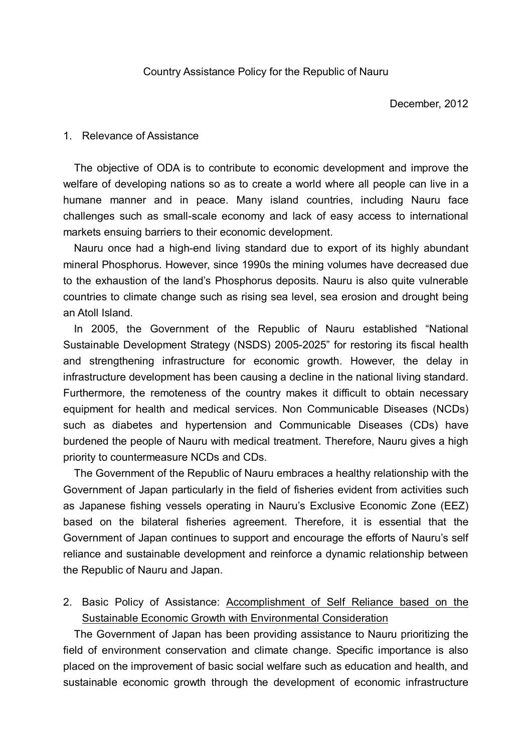#### 1. Relevance of Assistance

The objective of ODA is to contribute to economic development and improve the welfare of developing nations so as to create a world where all people can live in a humane manner and in peace. Many island countries, including Nauru face challenges such as small-scale economy and lack of easy access to international markets ensuing barriers to their economic development.

Nauru once had a high-end living standard due to export of its highly abundant mineral Phosphorus. However, since 1990s the mining volumes have decreased due to the exhaustion of the land's Phosphorus deposits. Nauru is also quite vulnerable countries to climate change such as rising sea level, sea erosion and drought being an Atoll Island.

In 2005, the Government of the Republic of Nauru established "National Sustainable Development Strategy (NSDS) 2005-2025" for restoring its fiscal health and strengthening infrastructure for economic growth. However, the delay in infrastructure development has been causing a decline in the national living standard. Furthermore, the remoteness of the country makes it difficult to obtain necessary equipment for health and medical services. Non Communicable Diseases (NCDs) such as diabetes and hypertension and Communicable Diseases (CDs) have burdened the people of Nauru with medical treatment. Therefore, Nauru gives a high priority to countermeasure NCDs and CDs.

The Government of the Republic of Nauru embraces a healthy relationship with the Government of Japan particularly in the field of fisheries evident from activities such as Japanese fishing vessels operating in Nauru's Exclusive Economic Zone (EEZ) based on the bilateral fisheries agreement. Therefore, it is essential that the Government of Japan continues to support and encourage the efforts of Nauru's self reliance and sustainable development and reinforce a dynamic relationship between the Republic of Nauru and Japan.

2. Basic Policy of Assistance: Accomplishment of Self Reliance based on the Sustainable Economic Growth with Environmental Consideration

The Government of Japan has been providing assistance to Nauru prioritizing the field of environment conservation and climate change. Specific importance is also placed on the improvement of basic social welfare such as education and health, and sustainable economic growth through the development of economic infrastructure